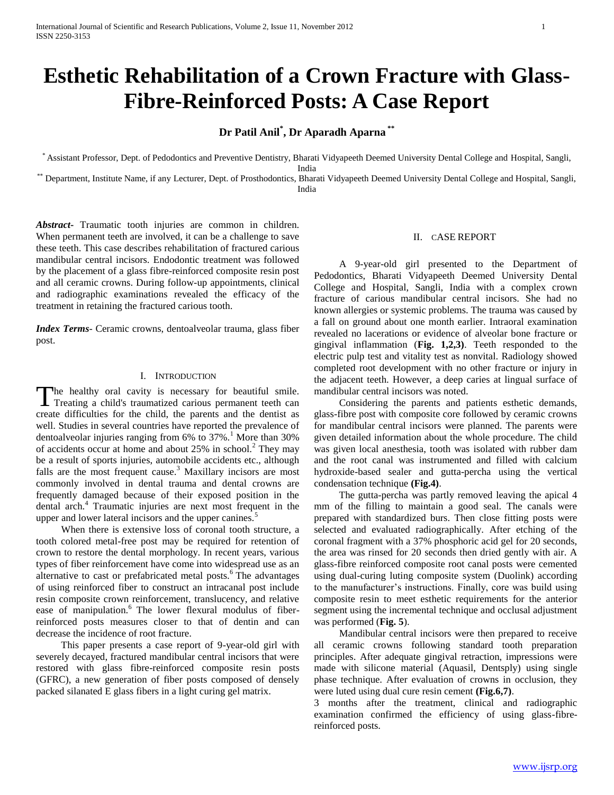# **Esthetic Rehabilitation of a Crown Fracture with Glass-Fibre-Reinforced Posts: A Case Report**

# **Dr Patil Anil\* , Dr Aparadh Aparna \*\***

\* Assistant Professor, Dept. of Pedodontics and Preventive Dentistry, Bharati Vidyapeeth Deemed University Dental College and Hospital, Sangli, India

\*\* Department, Institute Name, if any Lecturer, Dept. of Prosthodontics, Bharati Vidyapeeth Deemed University Dental College and Hospital, Sangli, India

*Abstract***-** Traumatic tooth injuries are common in children. When permanent teeth are involved, it can be a challenge to save these teeth. This case describes rehabilitation of fractured carious mandibular central incisors. Endodontic treatment was followed by the placement of a glass fibre-reinforced composite resin post and all ceramic crowns. During follow-up appointments, clinical and radiographic examinations revealed the efficacy of the treatment in retaining the fractured carious tooth.

*Index Terms*- Ceramic crowns, dentoalveolar trauma, glass fiber post.

# I. INTRODUCTION

The healthy oral cavity is necessary for beautiful smile. The healthy oral cavity is necessary for beautiful smile.<br>Treating a child's traumatized carious permanent teeth can create difficulties for the child, the parents and the dentist as well. Studies in several countries have reported the prevalence of dentoalveolar injuries ranging from  $6\%$  to  $37\%$ .<sup>1</sup> More than  $30\%$ of accidents occur at home and about  $25\%$  in school.<sup>2</sup> They may be a result of sports injuries, automobile accidents etc., although falls are the most frequent cause.<sup>3</sup> Maxillary incisors are most commonly involved in dental trauma and dental crowns are frequently damaged because of their exposed position in the dental arch.<sup>4</sup> Traumatic injuries are next most frequent in the upper and lower lateral incisors and the upper canines.<sup>5</sup>

 When there is extensive loss of coronal tooth structure, a tooth colored metal-free post may be required for retention of crown to restore the dental morphology. In recent years, various types of fiber reinforcement have come into widespread use as an alternative to cast or prefabricated metal posts. $6\text{ The advantages}$ of using reinforced fiber to construct an intracanal post include resin composite crown reinforcement, translucency, and relative ease of manipulation.<sup>6</sup> The lower flexural modulus of fiberreinforced posts measures closer to that of dentin and can decrease the incidence of root fracture.

 This paper presents a case report of 9-year-old girl with severely decayed, fractured mandibular central incisors that were restored with glass fibre-reinforced composite resin posts (GFRC), a new generation of fiber posts composed of densely packed silanated E glass fibers in a light curing gel matrix.

# II. CASE REPORT

 A 9-year-old girl presented to the Department of Pedodontics, Bharati Vidyapeeth Deemed University Dental College and Hospital, Sangli, India with a complex crown fracture of carious mandibular central incisors. She had no known allergies or systemic problems. The trauma was caused by a fall on ground about one month earlier. Intraoral examination revealed no lacerations or evidence of alveolar bone fracture or gingival inflammation (**Fig. 1,2,3)**. Teeth responded to the electric pulp test and vitality test as nonvital. Radiology showed completed root development with no other fracture or injury in the adjacent teeth. However, a deep caries at lingual surface of mandibular central incisors was noted.

 Considering the parents and patients esthetic demands, glass-fibre post with composite core followed by ceramic crowns for mandibular central incisors were planned. The parents were given detailed information about the whole procedure. The child was given local anesthesia, tooth was isolated with rubber dam and the root canal was instrumented and filled with calcium hydroxide-based sealer and gutta-percha using the vertical condensation technique **(Fig.4)**.

 The gutta-percha was partly removed leaving the apical 4 mm of the filling to maintain a good seal. The canals were prepared with standardized burs. Then close fitting posts were selected and evaluated radiographically. After etching of the coronal fragment with a 37% phosphoric acid gel for 20 seconds, the area was rinsed for 20 seconds then dried gently with air. A glass-fibre reinforced composite root canal posts were cemented using dual-curing luting composite system (Duolink) according to the manufacturer's instructions. Finally, core was build using composite resin to meet esthetic requirements for the anterior segment using the incremental technique and occlusal adjustment was performed (**Fig. 5**).

 Mandibular central incisors were then prepared to receive all ceramic crowns following standard tooth preparation principles. After adequate gingival retraction, impressions were made with silicone material (Aquasil, Dentsply) using single phase technique. After evaluation of crowns in occlusion, they were luted using dual cure resin cement **(Fig.6,7)**.

3 months after the treatment, clinical and radiographic examination confirmed the efficiency of using glass-fibrereinforced posts.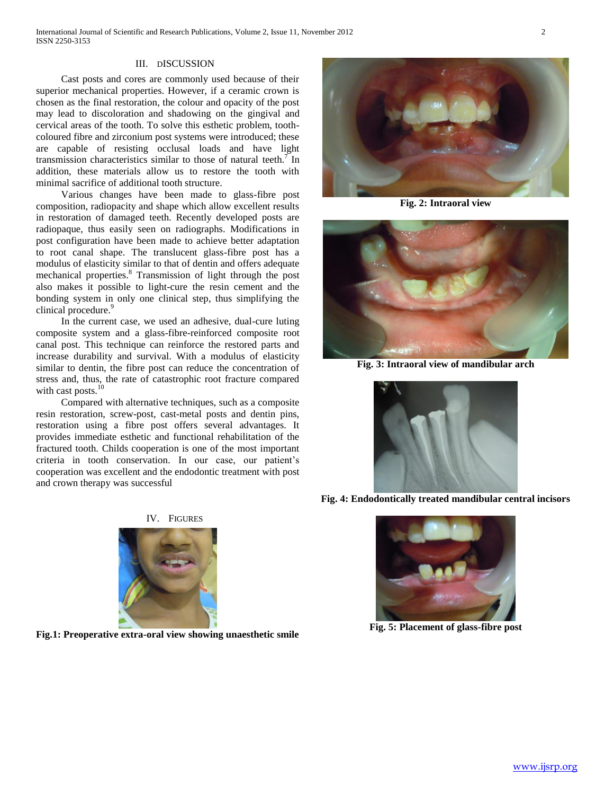#### III. DISCUSSION

 Cast posts and cores are commonly used because of their superior mechanical properties. However, if a ceramic crown is chosen as the final restoration, the colour and opacity of the post may lead to discoloration and shadowing on the gingival and cervical areas of the tooth. To solve this esthetic problem, toothcoloured fibre and zirconium post systems were introduced; these are capable of resisting occlusal loads and have light transmission characteristics similar to those of natural teeth.<sup>7</sup> In addition, these materials allow us to restore the tooth with minimal sacrifice of additional tooth structure.

 Various changes have been made to glass-fibre post composition, radiopacity and shape which allow excellent results in restoration of damaged teeth. Recently developed posts are radiopaque, thus easily seen on radiographs. Modifications in post configuration have been made to achieve better adaptation to root canal shape. The translucent glass-fibre post has a modulus of elasticity similar to that of dentin and offers adequate mechanical properties.<sup>8</sup> Transmission of light through the post also makes it possible to light-cure the resin cement and the bonding system in only one clinical step, thus simplifying the clinical procedure.<sup>9</sup>

 In the current case, we used an adhesive, dual-cure luting composite system and a glass-fibre-reinforced composite root canal post. This technique can reinforce the restored parts and increase durability and survival. With a modulus of elasticity similar to dentin, the fibre post can reduce the concentration of stress and, thus, the rate of catastrophic root fracture compared with cast posts. $10$ 

 Compared with alternative techniques, such as a composite resin restoration, screw-post, cast-metal posts and dentin pins, restoration using a fibre post offers several advantages. It provides immediate esthetic and functional rehabilitation of the fractured tooth. Childs cooperation is one of the most important criteria in tooth conservation. In our case, our patient's cooperation was excellent and the endodontic treatment with post and crown therapy was successful



**Fig.1: Preoperative extra-oral view showing unaesthetic smile**



**Fig. 2: Intraoral view**



**Fig. 3: Intraoral view of mandibular arch**



**Fig. 4: Endodontically treated mandibular central incisors**



**Fig. 5: Placement of glass-fibre post**